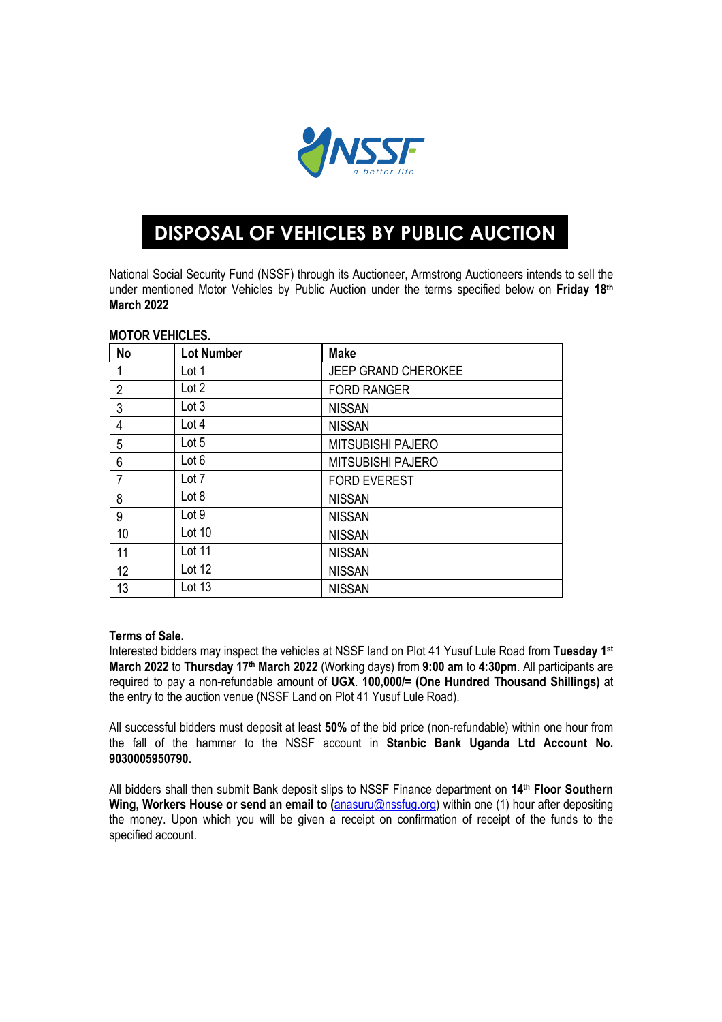

## **DISPOSAL OF VEHICLES BY PUBLIC AUCTION**

National Social Security Fund (NSSF) through its Auctioneer, Armstrong Auctioneers intends to sell the under mentioned Motor Vehicles by Public Auction under the terms specified below on **Friday 18th March 2022**

| <b>No</b>      | <b>Lot Number</b> | <b>Make</b>                |
|----------------|-------------------|----------------------------|
| 1              | Lot 1             | <b>JEEP GRAND CHEROKEE</b> |
| $\overline{2}$ | Lot 2             | <b>FORD RANGER</b>         |
| 3              | Lot 3             | <b>NISSAN</b>              |
| 4              | Lot 4             | <b>NISSAN</b>              |
| 5              | Lot 5             | <b>MITSUBISHI PAJERO</b>   |
| 6              | Lot 6             | <b>MITSUBISHI PAJERO</b>   |
| 7              | Lot 7             | <b>FORD EVEREST</b>        |
| 8              | Lot 8             | <b>NISSAN</b>              |
| 9              | Lot 9             | <b>NISSAN</b>              |
| 10             | Lot 10            | <b>NISSAN</b>              |
| 11             | Lot 11            | <b>NISSAN</b>              |
| 12             | Lot 12            | <b>NISSAN</b>              |
| 13             | Lot 13            | <b>NISSAN</b>              |

## **MOTOR VEHICLES.**

## **Terms of Sale.**

Interested bidders may inspect the vehicles at NSSF land on Plot 41 Yusuf Lule Road from **Tuesday 1st March 2022** to **Thursday 17th March 2022** (Working days) from **9:00 am** to **4:30pm**. All participants are required to pay a non-refundable amount of **UGX**. **100,000/= (One Hundred Thousand Shillings)** at the entry to the auction venue (NSSF Land on Plot 41 Yusuf Lule Road).

All successful bidders must deposit at least **50%** of the bid price (non-refundable) within one hour from the fall of the hammer to the NSSF account in **Stanbic Bank Uganda Ltd Account No. 9030005950790.**

All bidders shall then submit Bank deposit slips to NSSF Finance department on **14th Floor Southern Wing, Workers House or send an email to (**anasuru@nssfug.org) within one (1) hour after depositing the money. Upon which you will be given a receipt on confirmation of receipt of the funds to the specified account.